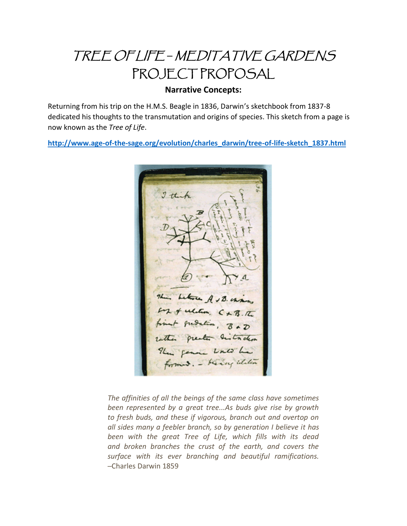# TREE OF LIFE *─* MEDITATIVE GARDENS PROJECT PROPOSAL

#### **Narrative Concepts:**

Returning from his trip on the H.M.S. Beagle in 1836, Darwin's sketchbook from 1837-8 dedicated his thoughts to the transmutation and origins of species. This sketch from a page is now known as the *Tree of Life*.

**[http://www.age-of-the-sage.org/evolution/charles\\_darwin/tree-of-life-sketch\\_1837.html](http://www.age-of-the-sage.org/evolution/charles_darwin/tree-of-life-sketch_1837.html)**



*The affinities of all the beings of the same class have sometimes been represented by a great tree...As buds give rise by growth to fresh buds, and these if vigorous, branch out and overtop on all sides many a feebler branch, so by generation I believe it has been with the great Tree of Life, which fills with its dead and broken branches the crust of the earth, and covers the surface with its ever branching and beautiful ramifications.* ─Charles Darwin 1859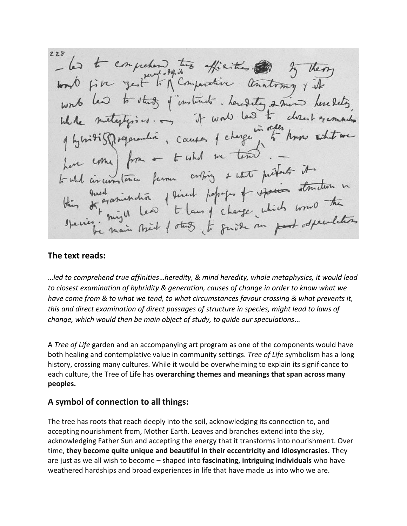$228$ - les t comprehens très affinities au 3 the study of instituts. Leredety 2 min levelets  $460$  $u \rightarrow \pi$  it was nitisffrequention, causes of charge in other home come) from a to what we tend tout circumstance funer oriting & water prefects it comtenu fum orthog & who previous structure in<br>examination period perfects of example structure in<br>might lead to laung change which would the

#### **The text reads:**

…*led to comprehend true affinities*…*heredity, & mind heredity, whole metaphysics, it would lead to closest examination of hybridity & generation, causes of change in order to know what we have come from & to what we tend, to what circumstances favour crossing & what prevents it, this and direct examination of direct passages of structure in species, might lead to laws of change, which would then be main object of study, to guide our speculations*…

A *Tree of Life* garden and an accompanying art program as one of the components would have both healing and contemplative value in community settings. *Tree of Life* symbolism has a long history, crossing many cultures. While it would be overwhelming to explain its significance to each culture, the Tree of Life has **overarching themes and meanings that span across many peoples.**

#### **A symbol of connection to all things:**

The tree has roots that reach deeply into the soil, acknowledging its connection to, and accepting nourishment from, Mother Earth. Leaves and branches extend into the sky, acknowledging Father Sun and accepting the energy that it transforms into nourishment. Over time, **they become quite unique and beautiful in their eccentricity and idiosyncrasies.** They are just as we all wish to become – shaped into **fascinating, intriguing individuals** who have weathered hardships and broad experiences in life that have made us into who we are.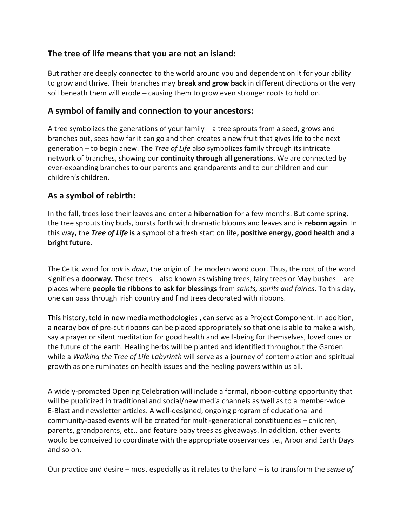## **The tree of life means that you are not an island:**

But rather are deeply connected to the world around you and dependent on it for your ability to grow and thrive. Their branches may **break and grow back** in different directions or the very soil beneath them will erode – causing them to grow even stronger roots to hold on.

## **A symbol of family and connection to your ancestors:**

A tree symbolizes the generations of your family ─ a tree sprouts from a seed, grows and branches out, sees how far it can go and then creates a new fruit that gives life to the next generation ─ to begin anew. The *Tree of Life* also symbolizes family through its intricate network of branches, showing our **continuity through all generations**. We are connected by ever-expanding branches to our parents and grandparents and to our children and our children's children.

## **As a symbol of rebirth:**

In the fall, trees lose their leaves and enter a **hibernation** for a few months. But come spring, the tree sprouts tiny buds, bursts forth with dramatic blooms and leaves and is **reborn again**. In this way**,** the *Tree of Life* **is** a symbol of a fresh start on life**, positive energy, good health and a bright future.**

The Celtic word for *oak* is *daur*, the origin of the modern word door. Thus, the root of the word signifies a **doorway.** These trees — also known as wishing trees, fairy trees or May bushes — are places where **people tie ribbons to ask for blessings** from *saints, spirits and fairies*. To this day, one can pass through Irish country and find trees decorated with ribbons.

This history, told in new media methodologies , can serve as a Project Component. In addition, a nearby box of pre-cut ribbons can be placed appropriately so that one is able to make a wish, say a prayer or silent meditation for good health and well-being for themselves, loved ones or the future of the earth. Healing herbs will be planted and identified throughout the Garden while a *Walking the Tree of Life Labyrinth* will serve as a journey of contemplation and spiritual growth as one ruminates on health issues and the healing powers within us all.

A widely-promoted Opening Celebration will include a formal, ribbon-cutting opportunity that will be publicized in traditional and social/new media channels as well as to a member-wide E-Blast and newsletter articles. A well-designed, ongoing program of educational and community-based events will be created for multi-generational constituencies — children, parents, grandparents, etc., and feature baby trees as giveaways. In addition, other events would be conceived to coordinate with the appropriate observances i.e., Arbor and Earth Days and so on.

Our practice and desire – most especially as it relates to the land – is to transform the *sense of*